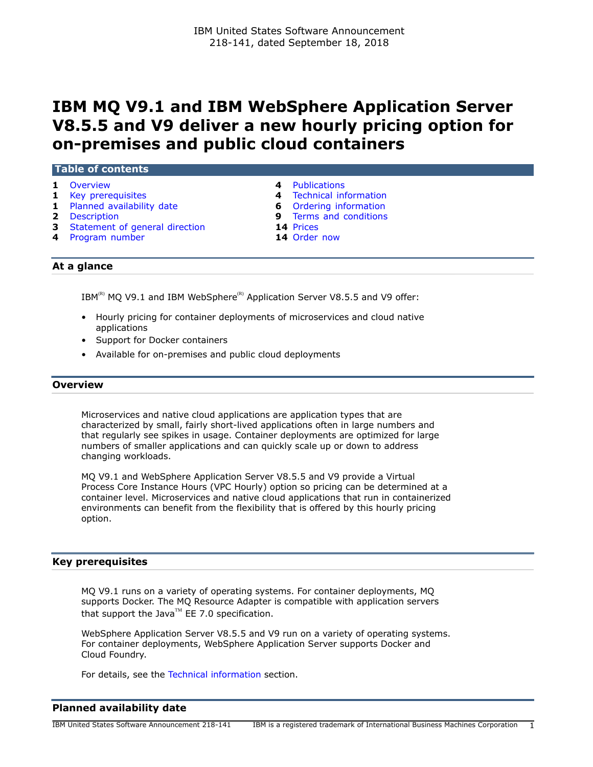# **IBM MQ V9.1 and IBM WebSphere Application Server V8.5.5 and V9 deliver a new hourly pricing option for on-premises and public cloud containers**

### **Table of contents**

- 
- **1** [Overview](#page-0-0) **4** [Publications](#page-3-0)<br> **1** Kev prerequisites **4** Technical in
- **1** [Planned availability date](#page-0-2) **6** [Ordering information](#page-5-0)
- 
- **3** [Statement of general direction](#page-2-0) **14** [Prices](#page-13-0)
- **4** [Program number](#page-3-2) **14** [Order now](#page-13-1)
- 
- **1** [Key prerequisites](#page-0-1) **4** [Technical information](#page-3-1)
	-
- **2** [Description](#page-1-0) **9** [Terms and conditions](#page-8-0)
	-
	-

# **At a glance**

 $IBM^{(R)}$  MQ V9.1 and IBM WebSphere<sup>(R)</sup> Application Server V8.5.5 and V9 offer:

- Hourly pricing for container deployments of microservices and cloud native applications
- Support for Docker containers
- Available for on-premises and public cloud deployments

### <span id="page-0-0"></span>**Overview**

Microservices and native cloud applications are application types that are characterized by small, fairly short-lived applications often in large numbers and that regularly see spikes in usage. Container deployments are optimized for large numbers of smaller applications and can quickly scale up or down to address changing workloads.

MQ V9.1 and WebSphere Application Server V8.5.5 and V9 provide a Virtual Process Core Instance Hours (VPC Hourly) option so pricing can be determined at a container level. Microservices and native cloud applications that run in containerized environments can benefit from the flexibility that is offered by this hourly pricing option.

### <span id="page-0-1"></span>**Key prerequisites**

MQ V9.1 runs on a variety of operating systems. For container deployments, MQ supports Docker. The MQ Resource Adapter is compatible with application servers that support the Java<sup>TM</sup> EE 7.0 specification.

WebSphere Application Server V8.5.5 and V9 run on a variety of operating systems. For container deployments, WebSphere Application Server supports Docker and Cloud Foundry.

For details, see the [Technical information](#page-3-1) section.

# <span id="page-0-2"></span>**Planned availability date**

IBM United States Software Announcement 218-141 IBM is a registered trademark of International Business Machines Corporation 1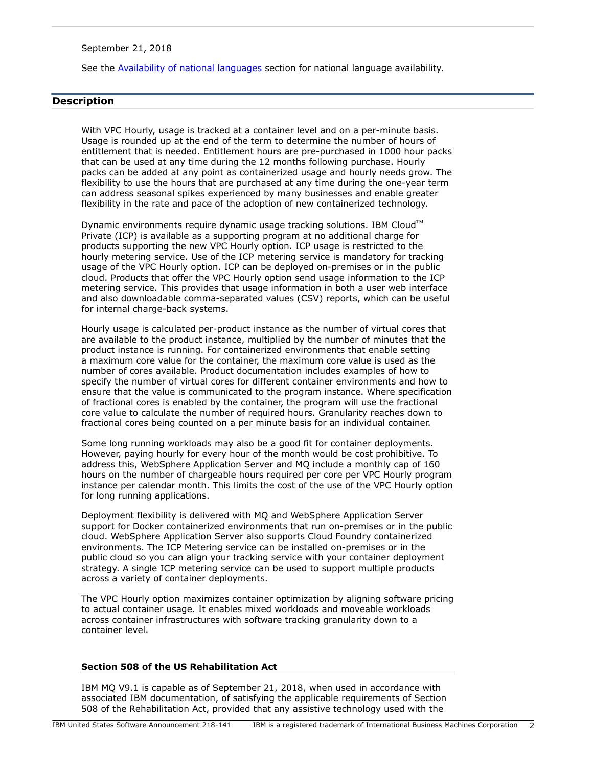September 21, 2018

See the [Availability of national languages](#page-2-1) section for national language availability.

# <span id="page-1-0"></span>**Description**

With VPC Hourly, usage is tracked at a container level and on a per-minute basis. Usage is rounded up at the end of the term to determine the number of hours of entitlement that is needed. Entitlement hours are pre-purchased in 1000 hour packs that can be used at any time during the 12 months following purchase. Hourly packs can be added at any point as containerized usage and hourly needs grow. The flexibility to use the hours that are purchased at any time during the one-year term can address seasonal spikes experienced by many businesses and enable greater flexibility in the rate and pace of the adoption of new containerized technology.

Dynamic environments require dynamic usage tracking solutions. IBM Cloud™ Private (ICP) is available as a supporting program at no additional charge for products supporting the new VPC Hourly option. ICP usage is restricted to the hourly metering service. Use of the ICP metering service is mandatory for tracking usage of the VPC Hourly option. ICP can be deployed on-premises or in the public cloud. Products that offer the VPC Hourly option send usage information to the ICP metering service. This provides that usage information in both a user web interface and also downloadable comma-separated values (CSV) reports, which can be useful for internal charge-back systems.

Hourly usage is calculated per-product instance as the number of virtual cores that are available to the product instance, multiplied by the number of minutes that the product instance is running. For containerized environments that enable setting a maximum core value for the container, the maximum core value is used as the number of cores available. Product documentation includes examples of how to specify the number of virtual cores for different container environments and how to ensure that the value is communicated to the program instance. Where specification of fractional cores is enabled by the container, the program will use the fractional core value to calculate the number of required hours. Granularity reaches down to fractional cores being counted on a per minute basis for an individual container.

Some long running workloads may also be a good fit for container deployments. However, paying hourly for every hour of the month would be cost prohibitive. To address this, WebSphere Application Server and MQ include a monthly cap of 160 hours on the number of chargeable hours required per core per VPC Hourly program instance per calendar month. This limits the cost of the use of the VPC Hourly option for long running applications.

Deployment flexibility is delivered with MQ and WebSphere Application Server support for Docker containerized environments that run on-premises or in the public cloud. WebSphere Application Server also supports Cloud Foundry containerized environments. The ICP Metering service can be installed on-premises or in the public cloud so you can align your tracking service with your container deployment strategy. A single ICP metering service can be used to support multiple products across a variety of container deployments.

The VPC Hourly option maximizes container optimization by aligning software pricing to actual container usage. It enables mixed workloads and moveable workloads across container infrastructures with software tracking granularity down to a container level.

### **Section 508 of the US Rehabilitation Act**

IBM MQ V9.1 is capable as of September 21, 2018, when used in accordance with associated IBM documentation, of satisfying the applicable requirements of Section 508 of the Rehabilitation Act, provided that any assistive technology used with the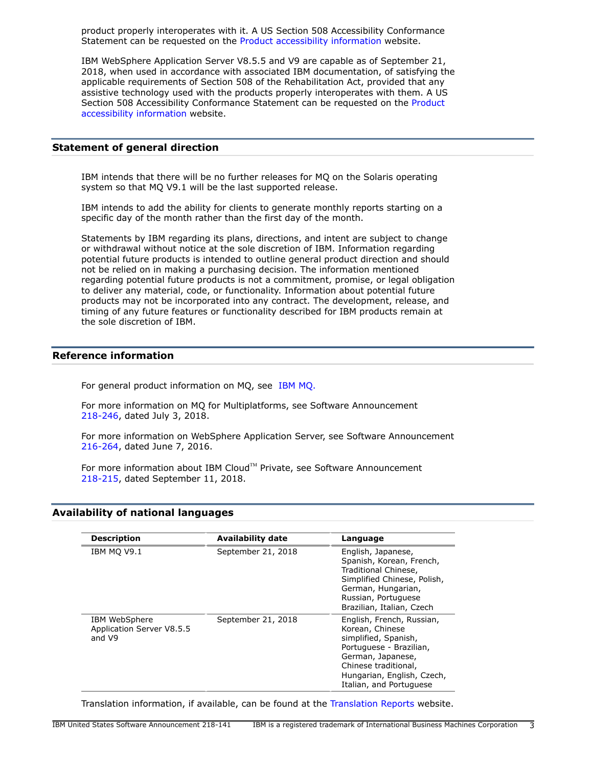product properly interoperates with it. A US Section 508 Accessibility Conformance Statement can be requested on the [Product accessibility information](http://www.ibm.com/able/product_accessibility/index.html) website.

IBM WebSphere Application Server V8.5.5 and V9 are capable as of September 21, 2018, when used in accordance with associated IBM documentation, of satisfying the applicable requirements of Section 508 of the Rehabilitation Act, provided that any assistive technology used with the products properly interoperates with them. A US Section 508 Accessibility Conformance Statement can be requested on the [Product](http://www.ibm.com/able/product_accessibility/index.html) [accessibility information](http://www.ibm.com/able/product_accessibility/index.html) website.

### <span id="page-2-0"></span>**Statement of general direction**

IBM intends that there will be no further releases for MQ on the Solaris operating system so that MQ V9.1 will be the last supported release.

IBM intends to add the ability for clients to generate monthly reports starting on a specific day of the month rather than the first day of the month.

Statements by IBM regarding its plans, directions, and intent are subject to change or withdrawal without notice at the sole discretion of IBM. Information regarding potential future products is intended to outline general product direction and should not be relied on in making a purchasing decision. The information mentioned regarding potential future products is not a commitment, promise, or legal obligation to deliver any material, code, or functionality. Information about potential future products may not be incorporated into any contract. The development, release, and timing of any future features or functionality described for IBM products remain at the sole discretion of IBM.

### **Reference information**

For general product information on MQ, see [IBM MQ.](https://www.ibm.com/products/mq)

For more information on MQ for Multiplatforms, see Software Announcement [218-246](http://www.ibm.com/common/ssi/cgi-bin/ssialias?infotype=an&subtype=ca&appname=gpateam&supplier=897&letternum=ENUS218-246), dated July 3, 2018.

For more information on WebSphere Application Server, see Software Announcement [216-264](http://www.ibm.com/common/ssi/cgi-bin/ssialias?infotype=an&subtype=ca&appname=gpateam&supplier=897&letternum=ENUS216-264), dated June 7, 2016.

For more information about IBM Cloud™ Private, see Software Announcement [218-215](http://www.ibm.com/common/ssi/cgi-bin/ssialias?infotype=an&subtype=ca&appname=gpateam&supplier=897&letternum=ENUS218-215), dated September 11, 2018.

### <span id="page-2-1"></span>**Availability of national languages**

| <b>Description</b>                                   | <b>Availability date</b> | Language                                                                                                                                                                                              |
|------------------------------------------------------|--------------------------|-------------------------------------------------------------------------------------------------------------------------------------------------------------------------------------------------------|
| IBM MO V9.1                                          | September 21, 2018       | English, Japanese,<br>Spanish, Korean, French,<br>Traditional Chinese,<br>Simplified Chinese, Polish,<br>German, Hungarian,<br>Russian, Portuguese<br>Brazilian, Italian, Czech                       |
| IBM WebSphere<br>Application Server V8.5.5<br>and V9 | September 21, 2018       | English, French, Russian,<br>Korean, Chinese<br>simplified, Spanish,<br>Portuguese - Brazilian,<br>German, Japanese,<br>Chinese traditional,<br>Hungarian, English, Czech,<br>Italian, and Portuguese |

Translation information, if available, can be found at the [Translation Reports](http://www.ibm.com/software/reports/compatibility/clarity/languageCategory.html) website.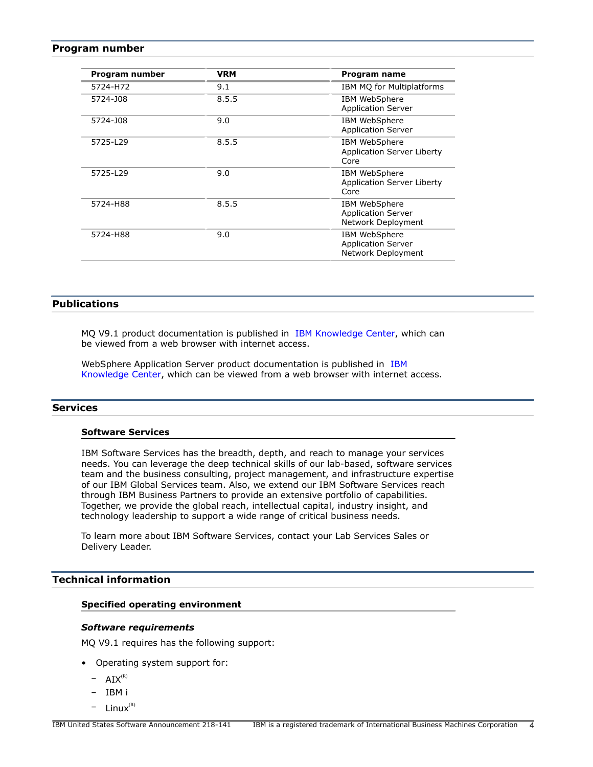### <span id="page-3-2"></span>**Program number**

| Program number | <b>VRM</b> | Program name                                                     |
|----------------|------------|------------------------------------------------------------------|
| 5724-H72       | 9.1        | IBM MQ for Multiplatforms                                        |
| 5724-J08       | 8.5.5      | <b>IBM WebSphere</b><br><b>Application Server</b>                |
| 5724-J08       | 9.0        | <b>IBM WebSphere</b><br><b>Application Server</b>                |
| 5725-L29       | 8.5.5      | IBM WebSphere<br>Application Server Liberty<br>Core              |
| 5725-L29       | 9.0        | IBM WebSphere<br><b>Application Server Liberty</b><br>Core       |
| 5724-H88       | 8.5.5      | IBM WebSphere<br><b>Application Server</b><br>Network Deployment |
| 5724-H88       | 9.0        | IBM WebSphere<br><b>Application Server</b><br>Network Deployment |

# <span id="page-3-0"></span>**Publications**

MQ V9.1 product documentation is published in [IBM Knowledge Center](https://www.ibm.com/support/knowledgecenter/en/SSFKSJ_9.1.0/com.ibm.mq.helphome.v91.doc/WelcomePagev9r1.htm), which can be viewed from a web browser with internet access.

WebSphere Application Server product documentation is published in [IBM](https://www.ibm.com/support/knowledgecenter/SSEQTP_9.0.0/as_ditamaps/was900_welcome_base.html) [Knowledge Center](https://www.ibm.com/support/knowledgecenter/SSEQTP_9.0.0/as_ditamaps/was900_welcome_base.html), which can be viewed from a web browser with internet access.

### **Services**

### **Software Services**

IBM Software Services has the breadth, depth, and reach to manage your services needs. You can leverage the deep technical skills of our lab-based, software services team and the business consulting, project management, and infrastructure expertise of our IBM Global Services team. Also, we extend our IBM Software Services reach through IBM Business Partners to provide an extensive portfolio of capabilities. Together, we provide the global reach, intellectual capital, industry insight, and technology leadership to support a wide range of critical business needs.

To learn more about IBM Software Services, contact your Lab Services Sales or Delivery Leader.

# <span id="page-3-1"></span>**Technical information**

# **Specified operating environment**

#### *Software requirements*

MQ V9.1 requires has the following support:

- Operating system support for:
	- $-$  AIX<sup>(R)</sup>
	- IBM i
	- $-$  Linux $<sup>(R)</sup>$ </sup>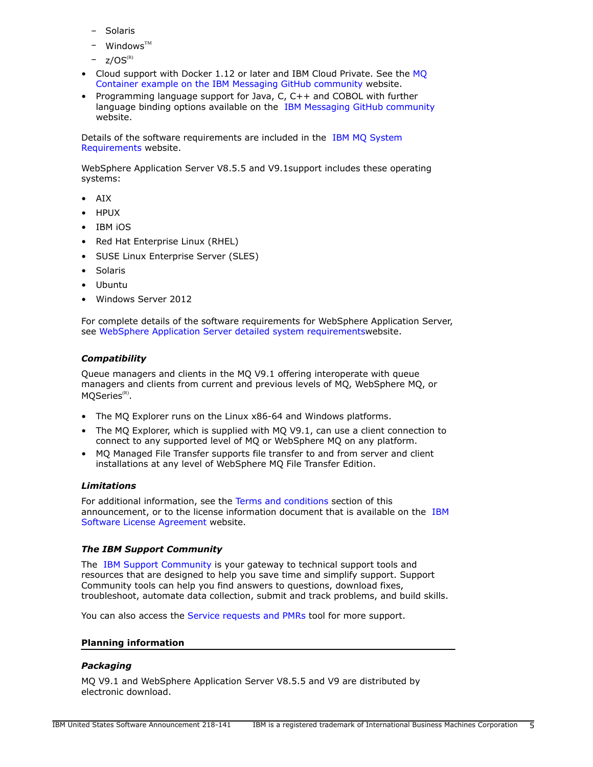- **Solaris**
- $W$ indows<sup>TM</sup>
- $z/OS^{(R)}$
- Cloud support with Docker 1.12 or later and IBM Cloud Private. See the [MQ](https://github.com/ibm-messaging/mq-container) [Container example on the IBM Messaging GitHub community](https://github.com/ibm-messaging/mq-container) website.
- Programming language support for Java, C, C++ and COBOL with further language binding options available on the [IBM Messaging GitHub community](https://github.com/ibm-messaging) website.

Details of the software requirements are included in the [IBM MQ System](https://www.ibm.com/support/docview.wss?uid=swg27051071) [Requirements](https://www.ibm.com/support/docview.wss?uid=swg27051071) website.

WebSphere Application Server V8.5.5 and V9.1support includes these operating systems:

- AIX
- HPUX
- IBM iOS
- Red Hat Enterprise Linux (RHEL)
- SUSE Linux Enterprise Server (SLES)
- Solaris
- Ubuntu
- Windows Server 2012

For complete details of the software requirements for WebSphere Application Server, se[e WebSphere Application Server detailed system requirements](http://www.ibm.com/support/docview.wss?rs=180&uid=swg27006921)website.

### *Compatibility*

Queue managers and clients in the MQ V9.1 offering interoperate with queue managers and clients from current and previous levels of MQ, WebSphere MQ, or  $MQSeries^{\scriptscriptstyle{\rm (R)}}.$ 

- The MQ Explorer runs on the Linux x86-64 and Windows platforms.
- The MQ Explorer, which is supplied with MQ V9.1, can use a client connection to connect to any supported level of MQ or WebSphere MQ on any platform.
- MQ Managed File Transfer supports file transfer to and from server and client installations at any level of WebSphere MQ File Transfer Edition.

### *Limitations*

For additional information, see the [Terms and conditions](#page-8-0) section of this announcement, or to the license information document that is available on the [IBM](http://www.ibm.com/software/sla/sladb.nsf) [Software License Agreement](http://www.ibm.com/software/sla/sladb.nsf) website.

### *The IBM Support Community*

The [IBM Support Community](https://www.ibm.com/support/home/) is your gateway to technical support tools and resources that are designed to help you save time and simplify support. Support Community tools can help you find answers to questions, download fixes, troubleshoot, automate data collection, submit and track problems, and build skills.

You can also access the [Service requests and PMRs](http://www.ibm.com/support/servicerequest) tool for more support.

### **Planning information**

### *Packaging*

MQ V9.1 and WebSphere Application Server V8.5.5 and V9 are distributed by electronic download.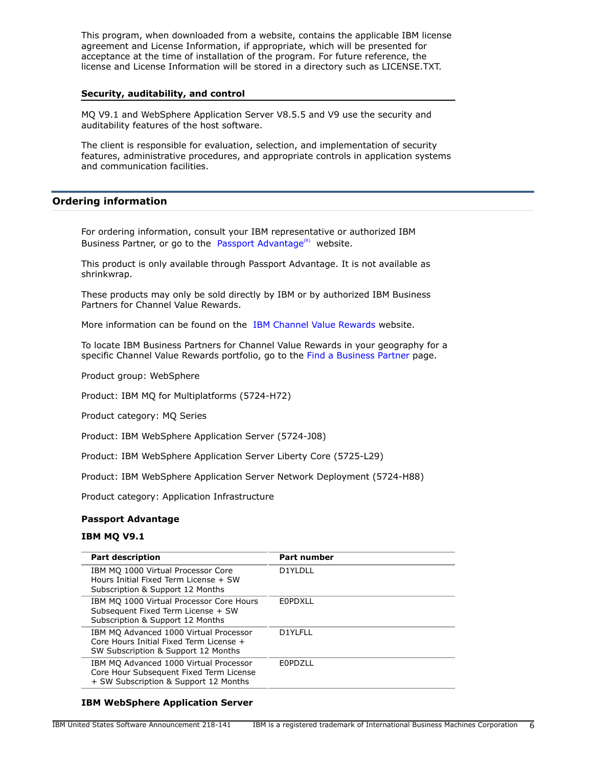This program, when downloaded from a website, contains the applicable IBM license agreement and License Information, if appropriate, which will be presented for acceptance at the time of installation of the program. For future reference, the license and License Information will be stored in a directory such as LICENSE.TXT.

### **Security, auditability, and control**

MQ V9.1 and WebSphere Application Server V8.5.5 and V9 use the security and auditability features of the host software.

The client is responsible for evaluation, selection, and implementation of security features, administrative procedures, and appropriate controls in application systems and communication facilities.

# <span id="page-5-0"></span>**Ordering information**

For ordering information, consult your IBM representative or authorized IBM Business Partner, or go to the [Passport Advantage](http://www.ibm.com/software/support/pa.html)<sup>(R)</sup> website.

This product is only available through Passport Advantage. It is not available as shrinkwrap.

These products may only be sold directly by IBM or by authorized IBM Business Partners for Channel Value Rewards.

More information can be found on the [IBM Channel Value Rewards](http://www.ibm.com/partnerworld/page/svp_authorized_portfolio) website.

To locate IBM Business Partners for Channel Value Rewards in your geography for a specific Channel Value Rewards portfolio, go to the [Find a Business Partner](http://www.ibm.com/partnerworld/wps/bplocator/) page.

Product group: WebSphere

Product: IBM MQ for Multiplatforms (5724-H72)

Product category: MQ Series

Product: IBM WebSphere Application Server (5724-J08)

Product: IBM WebSphere Application Server Liberty Core (5725-L29)

Product: IBM WebSphere Application Server Network Deployment (5724-H88)

Product category: Application Infrastructure

### **Passport Advantage**

### **IBM MQ V9.1**

| <b>Part description</b>                                                                                                    | <b>Part number</b> |
|----------------------------------------------------------------------------------------------------------------------------|--------------------|
| IBM MQ 1000 Virtual Processor Core<br>Hours Initial Fixed Term License + SW<br>Subscription & Support 12 Months            | D1YLDLL            |
| IBM MQ 1000 Virtual Processor Core Hours<br>Subsequent Fixed Term License + SW<br>Subscription & Support 12 Months         | F0PDXLL            |
| IBM MQ Advanced 1000 Virtual Processor<br>Core Hours Initial Fixed Term License +<br>SW Subscription & Support 12 Months   | D1YLFLL            |
| IBM MQ Advanced 1000 Virtual Processor<br>Core Hour Subsequent Fixed Term License<br>+ SW Subscription & Support 12 Months | F0PD711            |

# **IBM WebSphere Application Server**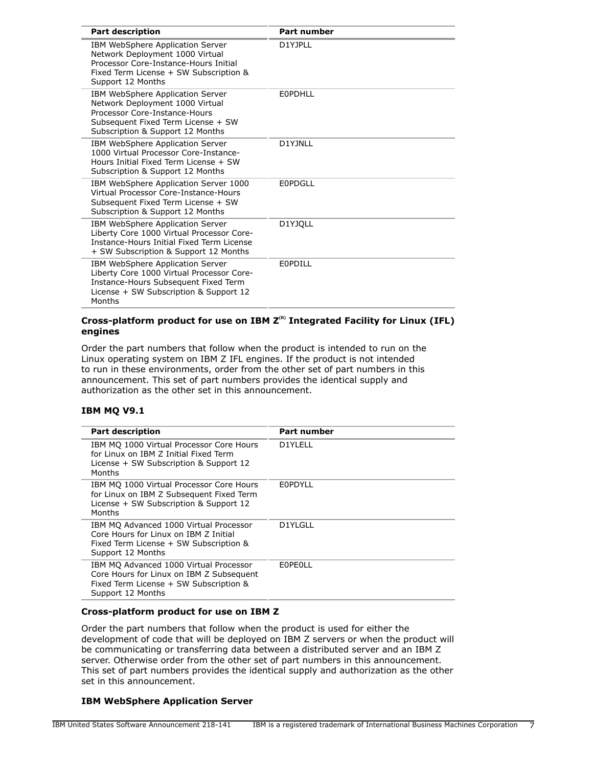| <b>Part description</b>                                                                                                                                                        | <b>Part number</b> |
|--------------------------------------------------------------------------------------------------------------------------------------------------------------------------------|--------------------|
| IBM WebSphere Application Server<br>Network Deployment 1000 Virtual<br>Processor Core-Instance-Hours Initial<br>Fixed Term License + SW Subscription &<br>Support 12 Months    | D1YJPLL            |
| IBM WebSphere Application Server<br>Network Deployment 1000 Virtual<br>Processor Core-Instance-Hours<br>Subsequent Fixed Term License + SW<br>Subscription & Support 12 Months | EOPDHLL            |
| IBM WebSphere Application Server<br>1000 Virtual Processor Core-Instance-<br>Hours Initial Fixed Term License + SW<br>Subscription & Support 12 Months                         | D1YJNLL            |
| IBM WebSphere Application Server 1000<br>Virtual Processor Core-Instance-Hours<br>Subsequent Fixed Term License + SW<br>Subscription & Support 12 Months                       | F0PDGLL            |
| IBM WebSphere Application Server<br>Liberty Core 1000 Virtual Processor Core-<br>Instance-Hours Initial Fixed Term License<br>+ SW Subscription & Support 12 Months            | D1YJQLL            |
| IBM WebSphere Application Server<br>Liberty Core 1000 Virtual Processor Core-<br>Instance-Hours Subsequent Fixed Term<br>License + SW Subscription & Support 12<br>Months      | F0PDILL            |

# **Cross-platform product for use on IBM Z(R) Integrated Facility for Linux (IFL) engines**

Order the part numbers that follow when the product is intended to run on the Linux operating system on IBM Z IFL engines. If the product is not intended to run in these environments, order from the other set of part numbers in this announcement. This set of part numbers provides the identical supply and authorization as the other set in this announcement.

# **IBM MQ V9.1**

| <b>Part description</b>                                                                                                                           | Part number |
|---------------------------------------------------------------------------------------------------------------------------------------------------|-------------|
| IBM MO 1000 Virtual Processor Core Hours<br>for Linux on IBM Z Initial Fixed Term<br>License + SW Subscription & Support 12<br>Months             | D1YLELL     |
| IBM MQ 1000 Virtual Processor Core Hours<br>for Linux on IBM Z Subsequent Fixed Term<br>License + SW Subscription & Support 12<br>Months          | EOPDYLL     |
| IBM MQ Advanced 1000 Virtual Processor<br>Core Hours for Linux on IBM Z Initial<br>Fixed Term License + SW Subscription &<br>Support 12 Months    | D1YLGLL     |
| IBM MQ Advanced 1000 Virtual Processor<br>Core Hours for Linux on IBM Z Subsequent<br>Fixed Term License + SW Subscription &<br>Support 12 Months | EOPEOLL     |

### **Cross-platform product for use on IBM Z**

Order the part numbers that follow when the product is used for either the development of code that will be deployed on IBM Z servers or when the product will be communicating or transferring data between a distributed server and an IBM Z server. Otherwise order from the other set of part numbers in this announcement. This set of part numbers provides the identical supply and authorization as the other set in this announcement.

### **IBM WebSphere Application Server**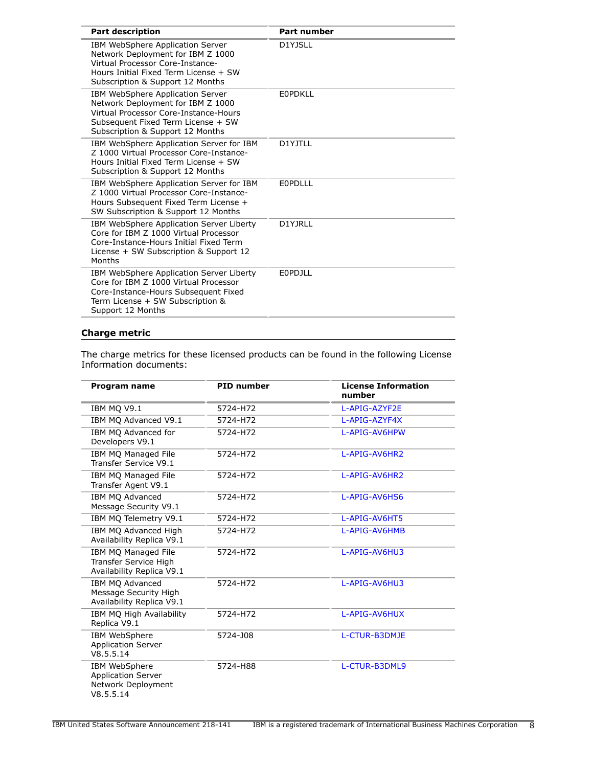| <b>Part number</b> |
|--------------------|
| D1YJSLL            |
| <b>EOPDKLL</b>     |
| D1YJTLL            |
| <b>EOPDLLL</b>     |
| D1YJRLL            |
| <b>EOPDJLL</b>     |
|                    |

# **Charge metric**

The charge metrics for these licensed products can be found in the following License Information documents:

| Program name                                                                     | <b>PID</b> number | <b>License Information</b><br>number |
|----------------------------------------------------------------------------------|-------------------|--------------------------------------|
| IBM MO V9.1                                                                      | 5724-H72          | L-APIG-AZYF2E                        |
| IBM MO Advanced V9.1                                                             | 5724-H72          | L-APIG-AZYF4X                        |
| IBM MQ Advanced for<br>Developers V9.1                                           | 5724-H72          | L-APIG-AV6HPW                        |
| <b>IBM MO Managed File</b><br>Transfer Service V9.1                              | 5724-H72          | L-APIG-AV6HR2                        |
| IBM MQ Managed File<br>Transfer Agent V9.1                                       | 5724-H72          | L-APIG-AV6HR2                        |
| IBM MQ Advanced<br>Message Security V9.1                                         | 5724-H72          | L-APIG-AV6HS6                        |
| IBM MO Telemetry V9.1                                                            | 5724-H72          | L-APIG-AV6HT5                        |
| IBM MQ Advanced High<br>Availability Replica V9.1                                | 5724-H72          | L-APIG-AV6HMB                        |
| IBM MQ Managed File<br><b>Transfer Service High</b><br>Availability Replica V9.1 | 5724-H72          | L-APIG-AV6HU3                        |
| IBM MO Advanced<br>Message Security High<br>Availability Replica V9.1            | 5724-H72          | L-APIG-AV6HU3                        |
| IBM MQ High Availability<br>Replica V9.1                                         | 5724-H72          | L-APIG-AV6HUX                        |
| IBM WebSphere<br><b>Application Server</b><br>V8.5.5.14                          | 5724-J08          | L-CTUR-B3DMJE                        |
| IBM WebSphere<br><b>Application Server</b><br>Network Deployment<br>V8.5.5.14    | 5724-H88          | L-CTUR-B3DML9                        |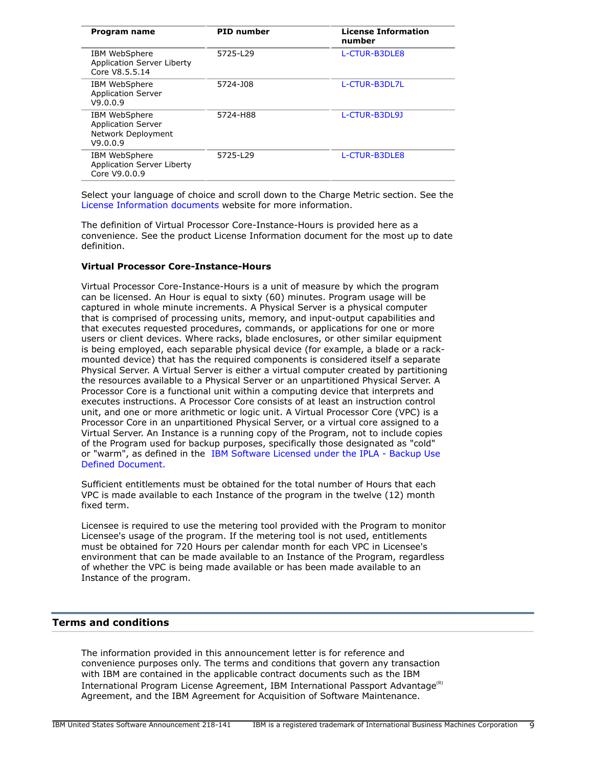| Program name                                                                 | <b>PID</b> number | <b>License Information</b><br>number |
|------------------------------------------------------------------------------|-------------------|--------------------------------------|
| IBM WebSphere<br><b>Application Server Liberty</b><br>Core V8.5.5.14         | 5725-L29          | L-CTUR-B3DLE8                        |
| IBM WebSphere<br><b>Application Server</b><br>V9.0.0.9                       | 5724-J08          | L-CTUR-B3DL7L                        |
| IBM WebSphere<br><b>Application Server</b><br>Network Deployment<br>V9.0.0.9 | 5724-H88          | L-CTUR-B3DL9J                        |
| IBM WebSphere<br>Application Server Liberty<br>Core V9.0.0.9                 | 5725-L29          | L-CTUR-B3DLE8                        |
|                                                                              |                   |                                      |

Select your language of choice and scroll down to the Charge Metric section. See the [License Information documents](https://www.ibm.com/software/sla/sladb.nsf) website for more information.

The definition of Virtual Processor Core-Instance-Hours is provided here as a convenience. See the product License Information document for the most up to date definition.

### **Virtual Processor Core-Instance-Hours**

Virtual Processor Core-Instance-Hours is a unit of measure by which the program can be licensed. An Hour is equal to sixty (60) minutes. Program usage will be captured in whole minute increments. A Physical Server is a physical computer that is comprised of processing units, memory, and input-output capabilities and that executes requested procedures, commands, or applications for one or more users or client devices. Where racks, blade enclosures, or other similar equipment is being employed, each separable physical device (for example, a blade or a rackmounted device) that has the required components is considered itself a separate Physical Server. A Virtual Server is either a virtual computer created by partitioning the resources available to a Physical Server or an unpartitioned Physical Server. A Processor Core is a functional unit within a computing device that interprets and executes instructions. A Processor Core consists of at least an instruction control unit, and one or more arithmetic or logic unit. A Virtual Processor Core (VPC) is a Processor Core in an unpartitioned Physical Server, or a virtual core assigned to a Virtual Server. An Instance is a running copy of the Program, not to include copies of the Program used for backup purposes, specifically those designated as "cold" or "warm", as defined in the [IBM Software Licensed under the IPLA - Backup Use](https://www.ibm.com/softwarepolicies) [Defined Document.](https://www.ibm.com/softwarepolicies)

Sufficient entitlements must be obtained for the total number of Hours that each VPC is made available to each Instance of the program in the twelve (12) month fixed term.

Licensee is required to use the metering tool provided with the Program to monitor Licensee's usage of the program. If the metering tool is not used, entitlements must be obtained for 720 Hours per calendar month for each VPC in Licensee's environment that can be made available to an Instance of the Program, regardless of whether the VPC is being made available or has been made available to an Instance of the program.

# <span id="page-8-0"></span>**Terms and conditions**

The information provided in this announcement letter is for reference and convenience purposes only. The terms and conditions that govern any transaction with IBM are contained in the applicable contract documents such as the IBM International Program License Agreement, IBM International Passport Advantage<sup>(R)</sup> Agreement, and the IBM Agreement for Acquisition of Software Maintenance.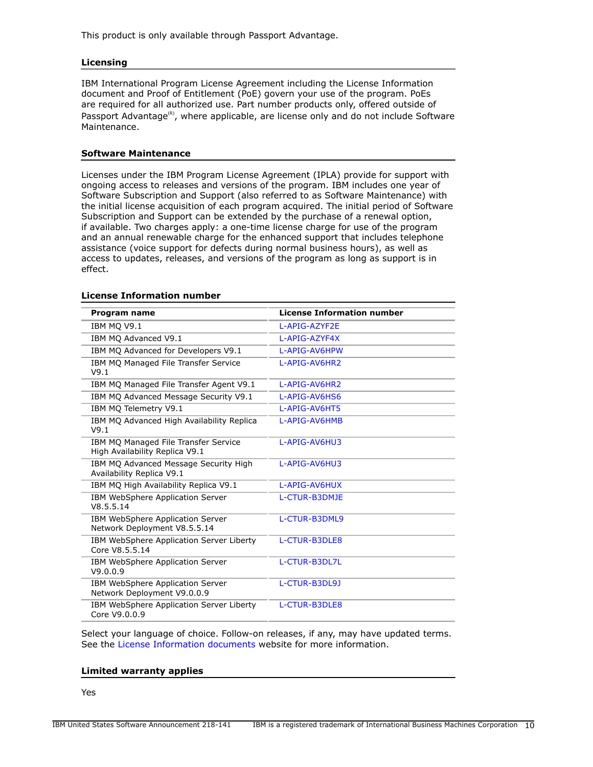This product is only available through Passport Advantage.

### **Licensing**

IBM International Program License Agreement including the License Information document and Proof of Entitlement (PoE) govern your use of the program. PoEs are required for all authorized use. Part number products only, offered outside of Passport Advantage<sup>(R)</sup>, where applicable, are license only and do not include Software Maintenance.

### **Software Maintenance**

Licenses under the IBM Program License Agreement (IPLA) provide for support with ongoing access to releases and versions of the program. IBM includes one year of Software Subscription and Support (also referred to as Software Maintenance) with the initial license acquisition of each program acquired. The initial period of Software Subscription and Support can be extended by the purchase of a renewal option, if available. Two charges apply: a one-time license charge for use of the program and an annual renewable charge for the enhanced support that includes telephone assistance (voice support for defects during normal business hours), as well as access to updates, releases, and versions of the program as long as support is in effect.

| Program name                                                           | <b>License Information number</b> |
|------------------------------------------------------------------------|-----------------------------------|
| IBM MQ V9.1                                                            | L-APIG-AZYF2E                     |
| IBM MO Advanced V9.1                                                   | L-APIG-AZYF4X                     |
| IBM MQ Advanced for Developers V9.1                                    | L-APIG-AV6HPW                     |
| IBM MQ Managed File Transfer Service<br>V9.1                           | L-APIG-AV6HR2                     |
| IBM MQ Managed File Transfer Agent V9.1                                | L-APIG-AV6HR2                     |
| IBM MQ Advanced Message Security V9.1                                  | L-APIG-AV6HS6                     |
| IBM MO Telemetry V9.1                                                  | L-APIG-AV6HT5                     |
| IBM MQ Advanced High Availability Replica<br>V9.1                      | L-APIG-AV6HMB                     |
| IBM MQ Managed File Transfer Service<br>High Availability Replica V9.1 | L-APIG-AV6HU3                     |
| IBM MQ Advanced Message Security High<br>Availability Replica V9.1     | L-APIG-AV6HU3                     |
| IBM MO High Availability Replica V9.1                                  | L-APIG-AV6HUX                     |
| IBM WebSphere Application Server<br>V8.5.5.14                          | L-CTUR-B3DMJE                     |
| IBM WebSphere Application Server<br>Network Deployment V8.5.5.14       | L-CTUR-B3DML9                     |
| IBM WebSphere Application Server Liberty<br>Core V8.5.5.14             | L-CTUR-B3DLE8                     |
| IBM WebSphere Application Server<br>V9.0.0.9                           | L-CTUR-B3DL7L                     |
| IBM WebSphere Application Server<br>Network Deployment V9.0.0.9        | L-CTUR-B3DL9J                     |
| IBM WebSphere Application Server Liberty<br>Core V9.0.0.9              | L-CTUR-B3DLE8                     |

#### **License Information number**

Select your language of choice. Follow-on releases, if any, may have updated terms. See the [License Information documents](https://www.ibm.com/software/sla/sladb.nsf/search?OpenForm) website for more information.

# **Limited warranty applies**

Yes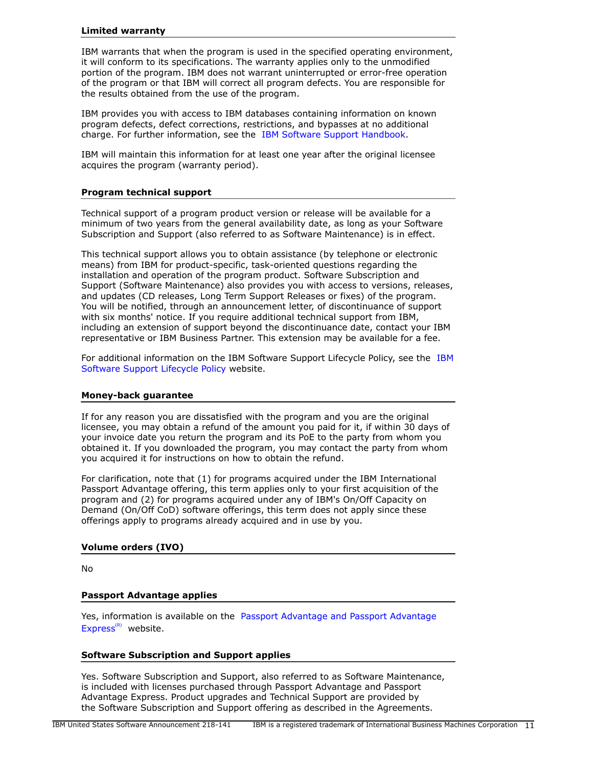#### **Limited warranty**

IBM warrants that when the program is used in the specified operating environment, it will conform to its specifications. The warranty applies only to the unmodified portion of the program. IBM does not warrant uninterrupted or error-free operation of the program or that IBM will correct all program defects. You are responsible for the results obtained from the use of the program.

IBM provides you with access to IBM databases containing information on known program defects, defect corrections, restrictions, and bypasses at no additional charge. For further information, see the [IBM Software Support Handbook.](http://www.ibm.com/support/customercare/sas/f/handbook/home.html)

IBM will maintain this information for at least one year after the original licensee acquires the program (warranty period).

### **Program technical support**

Technical support of a program product version or release will be available for a minimum of two years from the general availability date, as long as your Software Subscription and Support (also referred to as Software Maintenance) is in effect.

This technical support allows you to obtain assistance (by telephone or electronic means) from IBM for product-specific, task-oriented questions regarding the installation and operation of the program product. Software Subscription and Support (Software Maintenance) also provides you with access to versions, releases, and updates (CD releases, Long Term Support Releases or fixes) of the program. You will be notified, through an announcement letter, of discontinuance of support with six months' notice. If you require additional technical support from IBM, including an extension of support beyond the discontinuance date, contact your IBM representative or IBM Business Partner. This extension may be available for a fee.

For additional information on the IBM Software Support Lifecycle Policy, see the [IBM](http://www.ibm.com/software/support/lifecycle/cd-policy.html) [Software Support Lifecycle Policy](http://www.ibm.com/software/support/lifecycle/cd-policy.html) website.

### **Money-back guarantee**

If for any reason you are dissatisfied with the program and you are the original licensee, you may obtain a refund of the amount you paid for it, if within 30 days of your invoice date you return the program and its PoE to the party from whom you obtained it. If you downloaded the program, you may contact the party from whom you acquired it for instructions on how to obtain the refund.

For clarification, note that (1) for programs acquired under the IBM International Passport Advantage offering, this term applies only to your first acquisition of the program and (2) for programs acquired under any of IBM's On/Off Capacity on Demand (On/Off CoD) software offerings, this term does not apply since these offerings apply to programs already acquired and in use by you.

### **Volume orders (IVO)**

No

### **Passport Advantage applies**

Yes, information is available on the [Passport Advantage and Passport Advantage](http://www.ibm.com/software/passportadvantage) [Express](http://www.ibm.com/software/passportadvantage) $(R)$  website.

### **Software Subscription and Support applies**

Yes. Software Subscription and Support, also referred to as Software Maintenance, is included with licenses purchased through Passport Advantage and Passport Advantage Express. Product upgrades and Technical Support are provided by the Software Subscription and Support offering as described in the Agreements.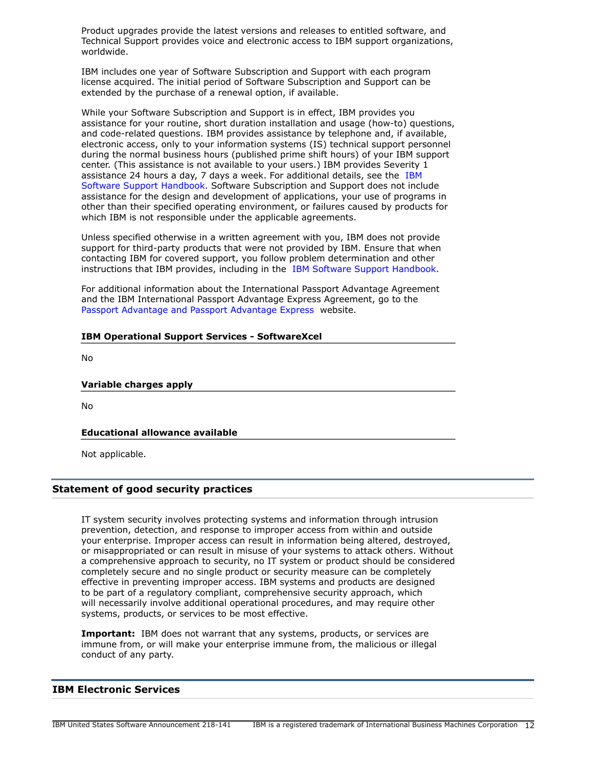Product upgrades provide the latest versions and releases to entitled software, and Technical Support provides voice and electronic access to IBM support organizations, worldwide.

IBM includes one year of Software Subscription and Support with each program license acquired. The initial period of Software Subscription and Support can be extended by the purchase of a renewal option, if available.

While your Software Subscription and Support is in effect, IBM provides you assistance for your routine, short duration installation and usage (how-to) questions, and code-related questions. IBM provides assistance by telephone and, if available, electronic access, only to your information systems (IS) technical support personnel during the normal business hours (published prime shift hours) of your IBM support center. (This assistance is not available to your users.) IBM provides Severity 1 assistance 24 hours a day, 7 days a week. For additional details, see the [IBM](http://www.ibm.com/support/customercare/sas/f/handbook/home.html) [Software Support Handbook.](http://www.ibm.com/support/customercare/sas/f/handbook/home.html) Software Subscription and Support does not include assistance for the design and development of applications, your use of programs in other than their specified operating environment, or failures caused by products for which IBM is not responsible under the applicable agreements.

Unless specified otherwise in a written agreement with you, IBM does not provide support for third-party products that were not provided by IBM. Ensure that when contacting IBM for covered support, you follow problem determination and other instructions that IBM provides, including in the [IBM Software Support Handbook](http://www.ibm.com/support/customercare/sas/f/handbook/home.html).

For additional information about the International Passport Advantage Agreement and the IBM International Passport Advantage Express Agreement, go to the [Passport Advantage and Passport Advantage Express](http://www.ibm.com/software/passportadvantage) website.

### **IBM Operational Support Services - SoftwareXcel**

No

### **Variable charges apply**

No

### **Educational allowance available**

Not applicable.

# **Statement of good security practices**

IT system security involves protecting systems and information through intrusion prevention, detection, and response to improper access from within and outside your enterprise. Improper access can result in information being altered, destroyed, or misappropriated or can result in misuse of your systems to attack others. Without a comprehensive approach to security, no IT system or product should be considered completely secure and no single product or security measure can be completely effective in preventing improper access. IBM systems and products are designed to be part of a regulatory compliant, comprehensive security approach, which will necessarily involve additional operational procedures, and may require other systems, products, or services to be most effective.

**Important:** IBM does not warrant that any systems, products, or services are immune from, or will make your enterprise immune from, the malicious or illegal conduct of any party.

### **IBM Electronic Services**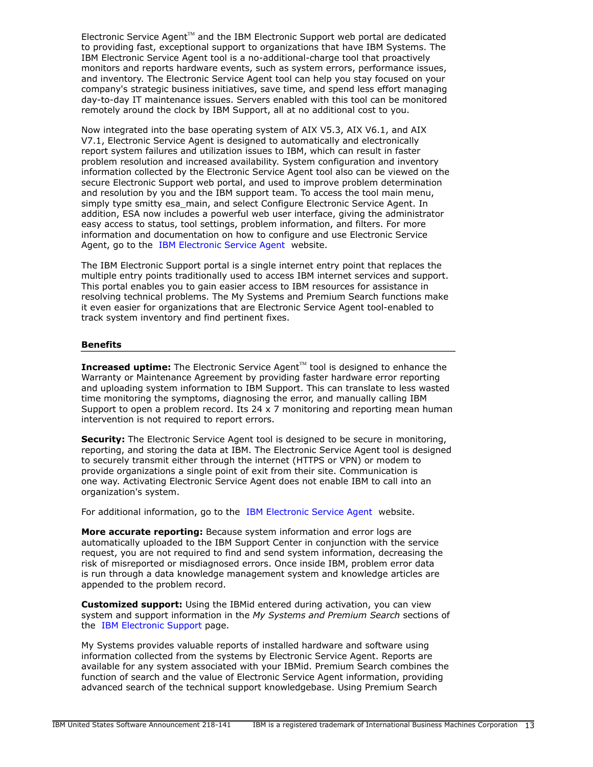Electronic Service Agent $T<sup>M</sup>$  and the IBM Electronic Support web portal are dedicated to providing fast, exceptional support to organizations that have IBM Systems. The IBM Electronic Service Agent tool is a no-additional-charge tool that proactively monitors and reports hardware events, such as system errors, performance issues, and inventory. The Electronic Service Agent tool can help you stay focused on your company's strategic business initiatives, save time, and spend less effort managing day-to-day IT maintenance issues. Servers enabled with this tool can be monitored remotely around the clock by IBM Support, all at no additional cost to you.

Now integrated into the base operating system of AIX V5.3, AIX V6.1, and AIX V7.1, Electronic Service Agent is designed to automatically and electronically report system failures and utilization issues to IBM, which can result in faster problem resolution and increased availability. System configuration and inventory information collected by the Electronic Service Agent tool also can be viewed on the secure Electronic Support web portal, and used to improve problem determination and resolution by you and the IBM support team. To access the tool main menu, simply type smitty esa\_main, and select Configure Electronic Service Agent. In addition, ESA now includes a powerful web user interface, giving the administrator easy access to status, tool settings, problem information, and filters. For more information and documentation on how to configure and use Electronic Service Agent, go to the [IBM Electronic Service Agent](http://www.ibm.com/support/esa) website.

The IBM Electronic Support portal is a single internet entry point that replaces the multiple entry points traditionally used to access IBM internet services and support. This portal enables you to gain easier access to IBM resources for assistance in resolving technical problems. The My Systems and Premium Search functions make it even easier for organizations that are Electronic Service Agent tool-enabled to track system inventory and find pertinent fixes.

### **Benefits**

**Increased uptime:** The Electronic Service Agent™ tool is designed to enhance the Warranty or Maintenance Agreement by providing faster hardware error reporting and uploading system information to IBM Support. This can translate to less wasted time monitoring the symptoms, diagnosing the error, and manually calling IBM Support to open a problem record. Its  $24 \times 7$  monitoring and reporting mean human intervention is not required to report errors.

**Security:** The Electronic Service Agent tool is designed to be secure in monitoring, reporting, and storing the data at IBM. The Electronic Service Agent tool is designed to securely transmit either through the internet (HTTPS or VPN) or modem to provide organizations a single point of exit from their site. Communication is one way. Activating Electronic Service Agent does not enable IBM to call into an organization's system.

For additional information, go to the [IBM Electronic Service Agent](http://www.ibm.com/support/esa) website.

**More accurate reporting:** Because system information and error logs are automatically uploaded to the IBM Support Center in conjunction with the service request, you are not required to find and send system information, decreasing the risk of misreported or misdiagnosed errors. Once inside IBM, problem error data is run through a data knowledge management system and knowledge articles are appended to the problem record.

**Customized support:** Using the IBMid entered during activation, you can view system and support information in the *My Systems and Premium Search* sections of the [IBM Electronic Support](http://www.ibm.com/support/electronic) page.

My Systems provides valuable reports of installed hardware and software using information collected from the systems by Electronic Service Agent. Reports are available for any system associated with your IBMid. Premium Search combines the function of search and the value of Electronic Service Agent information, providing advanced search of the technical support knowledgebase. Using Premium Search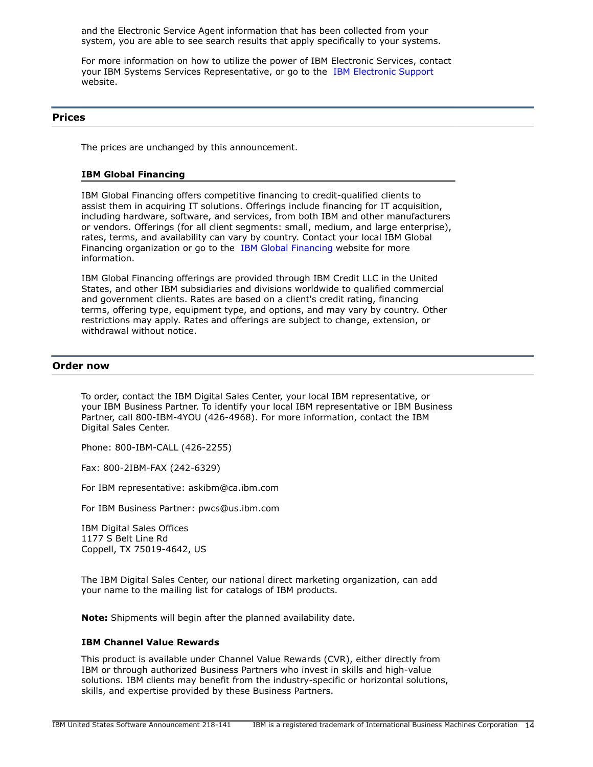and the Electronic Service Agent information that has been collected from your system, you are able to see search results that apply specifically to your systems.

For more information on how to utilize the power of IBM Electronic Services, contact your IBM Systems Services Representative, or go to the [IBM Electronic Support](http://www.ibm.com/support/electronic) website.

### <span id="page-13-0"></span>**Prices**

The prices are unchanged by this announcement.

### **IBM Global Financing**

IBM Global Financing offers competitive financing to credit-qualified clients to assist them in acquiring IT solutions. Offerings include financing for IT acquisition, including hardware, software, and services, from both IBM and other manufacturers or vendors. Offerings (for all client segments: small, medium, and large enterprise), rates, terms, and availability can vary by country. Contact your local IBM Global Financing organization or go to the [IBM Global Financing](http://www.ibm.com/financing) website for more information.

IBM Global Financing offerings are provided through IBM Credit LLC in the United States, and other IBM subsidiaries and divisions worldwide to qualified commercial and government clients. Rates are based on a client's credit rating, financing terms, offering type, equipment type, and options, and may vary by country. Other restrictions may apply. Rates and offerings are subject to change, extension, or withdrawal without notice.

### <span id="page-13-1"></span>**Order now**

To order, contact the IBM Digital Sales Center, your local IBM representative, or your IBM Business Partner. To identify your local IBM representative or IBM Business Partner, call 800-IBM-4YOU (426-4968). For more information, contact the IBM Digital Sales Center.

Phone: 800-IBM-CALL (426-2255)

Fax: 800-2IBM-FAX (242-6329)

For IBM representative: askibm@ca.ibm.com

For IBM Business Partner: pwcs@us.ibm.com

IBM Digital Sales Offices 1177 S Belt Line Rd Coppell, TX 75019-4642, US

The IBM Digital Sales Center, our national direct marketing organization, can add your name to the mailing list for catalogs of IBM products.

**Note:** Shipments will begin after the planned availability date.

### **IBM Channel Value Rewards**

This product is available under Channel Value Rewards (CVR), either directly from IBM or through authorized Business Partners who invest in skills and high-value solutions. IBM clients may benefit from the industry-specific or horizontal solutions, skills, and expertise provided by these Business Partners.